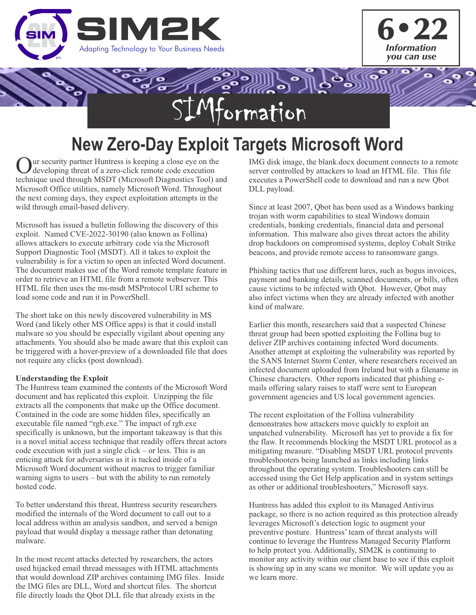



# ポッシ ormation

## **New Zero-Day Exploit Targets Microsoft Word**

ur security partner Huntress is keeping a close eye on the developing threat of a zero-click remote code execution technique used through MSDT (Microsoft Diagnostics Tool) and Microsoft Office utilities, namely Microsoft Word. Throughout the next coming days, they expect exploitation attempts in the wild through email-based delivery.

Microsoft has issued a bulletin following the discovery of this exploit. Named CVE-2022-30190 (also known as Follina) allows attackers to execute arbitrary code via the Microsoft Support Diagnostic Tool (MSDT). All it takes to exploit the vulnerability is for a victim to open an infected Word document. The document makes use of the Word remote template feature in order to retrieve an HTML file from a remote webserver. This HTML file then uses the ms-msdt MSProtocol URI scheme to load some code and run it in PowerShell.

The short take on this newly discovered vulnerability in MS Word (and likely other MS Office apps) is that it could install malware so you should be especially vigilant about opening any attachments. You should also be made aware that this exploit can be triggered with a hover-preview of a downloaded file that does not require any clicks (post download).

#### **Understanding the Exploit**

The Huntress team examined the contents of the Microsoft Word document and has replicated this exploit. Unzipping the file extracts all the components that make up the Office document. Contained in the code are some hidden files, specifically an executable file named "rgb.exe." The impact of rgb.exe specifically is unknown, but the important takeaway is that this is a novel initial access technique that readily offers threat actors code execution with just a single click – or less. This is an enticing attack for adversaries as it is tucked inside of a Microsoft Word document without macros to trigger familiar warning signs to users – but with the ability to run remotely hosted code.

To better understand this threat, Huntress security researchers modified the internals of the Word document to call out to a local address within an analysis sandbox, and served a benign payload that would display a message rather than detonating malware.

In the most recent attacks detected by researchers, the actors used hijacked email thread messages with HTML attachments that would download ZIP archives containing IMG files. Inside the IMG files are DLL, Word and shortcut files. The shortcut file directly loads the Qbot DLL file that already exists in the

IMG disk image, the blank.docx document connects to a remote server controlled by attackers to load an HTML file. This file executes a PowerShell code to download and run a new Qbot DLL payload.

Since at least 2007, Qbot has been used as a Windows banking trojan with worm capabilities to steal Windows domain credentials, banking credentials, financial data and personal information. This malware also gives threat actors the ability drop backdoors on compromised systems, deploy Cobalt Strike beacons, and provide remote access to ransomware gangs.

Phishing tactics that use different lures, such as bogus invoices, payment and banking details, scanned documents, or bills, often cause victims to be infected with Qbot. However, Qbot may also infect victims when they are already infected with another kind of malware.

Earlier this month, researchers said that a suspected Chinese threat group had been spotted exploiting the Follina bug to deliver ZIP archives containing infected Word documents. Another attempt at exploiting the vulnerability was reported by the SANS Internet Storm Center, where researchers received an infected document uploaded from Ireland but with a filename in Chinese characters. Other reports indicated that phishing emails offering salary raises to staff were sent to European government agencies and US local government agencies.

The recent exploitation of the Follina vulnerability demonstrates how attackers move quickly to exploit an unpatched vulnerability. Microsoft has yet to provide a fix for the flaw. It recommends blocking the MSDT URL protocol as a mitigating measure. "Disabling MSDT URL protocol prevents troubleshooters being launched as links including links throughout the operating system. Troubleshooters can still be accessed using the Get Help application and in system settings as other or additional troubleshooters," Microsoft says.

Huntress has added this exploit to its Managed Antivirus package, so there is no action required as this protection already leverages Microsoft's detection logic to augment your preventive posture. Huntress' team of threat analysts will continue to leverage the Huntress Managed Security Platform to help protect you. Additionally, SIM2K is continuing to monitor any activity within our client base to see if this exploit is showing up in any scans we monitor. We will update you as we learn more.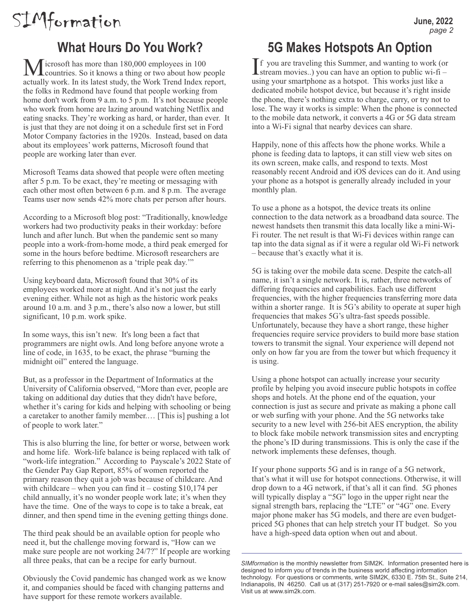# SIMformation

### **What Hours Do You Work?**

 $\sqrt{\frac{1}{100}}$  icrosoft has more than 180,000 employees in 100 **L** countries. So it knows a thing or two about how people actually work. In its latest study, the Work Trend Index report, the folks in Redmond have found that people working from home don't work from 9 a.m. to 5 p.m. It's not because people who work from home are lazing around watching Netflix and eating snacks. They're working as hard, or harder, than ever. It is just that they are not doing it on a schedule first set in Ford Motor Company factories in the 1920s. Instead, based on data about its employees' work patterns, Microsoft found that people are working later than ever.

Microsoft Teams data showed that people were often meeting after 5 p.m. To be exact, they're meeting or messaging with each other most often between 6 p.m. and 8 p.m. The average Teams user now sends 42% more chats per person after hours.

According to a Microsoft blog post: "Traditionally, knowledge workers had two productivity peaks in their workday: before lunch and after lunch. But when the pandemic sent so many people into a work-from-home mode, a third peak emerged for some in the hours before bedtime. Microsoft researchers are referring to this phenomenon as a 'triple peak day.'"

Using keyboard data, Microsoft found that 30% of its employees worked more at night. And it's not just the early evening either. While not as high as the historic work peaks around 10 a.m. and 3 p.m., there's also now a lower, but still significant, 10 p.m. work spike.

In some ways, this isn't new. It's long been a fact that programmers are night owls. And long before anyone wrote a line of code, in 1635, to be exact, the phrase "burning the midnight oil" entered the language.

But, as a professor in the Department of Informatics at the University of California observed, "More than ever, people are taking on additional day duties that they didn't have before, whether it's caring for kids and helping with schooling or being a caretaker to another family member.… [This is] pushing a lot of people to work later."

This is also blurring the line, for better or worse, between work and home life. Work-life balance is being replaced with talk of "work-life integration." According to Payscale's 2022 State of the Gender Pay Gap Report, 85% of women reported the primary reason they quit a job was because of childcare. And with childcare – when you can find it – costing  $$10,174$  per child annually, it's no wonder people work late; it's when they have the time. One of the ways to cope is to take a break, eat dinner, and then spend time in the evening getting things done.

The third peak should be an available option for people who need it, but the challenge moving forward is, "How can we make sure people are not working 24/7?" If people are working all three peaks, that can be a recipe for early burnout.

Obviously the Covid pandemic has changed work as we know it, and companies should be faced with changing patterns and have support for these remote workers available.

### **5G Makes Hotspots An Option**

 $\prod$  f you are traveling this Summer, and wanting to work (or stream movies..) you can have an option to public wi-fi – using your smartphone as a hotspot. This works just like a dedicated mobile hotspot device, but because it's right inside the phone, there's nothing extra to charge, carry, or try not to lose. The way it works is simple: When the phone is connected to the mobile data network, it converts a 4G or 5G data stream into a Wi-Fi signal that nearby devices can share.

Happily, none of this affects how the phone works. While a phone is feeding data to laptops, it can still view web sites on its own screen, make calls, and respond to texts. Most reasonably recent Android and iOS devices can do it. And using your phone as a hotspot is generally already included in your monthly plan.

To use a phone as a hotspot, the device treats its online connection to the data network as a broadband data source. The newest handsets then transmit this data locally like a mini-Wi-Fi router. The net result is that Wi-Fi devices within range can tap into the data signal as if it were a regular old Wi-Fi network – because that's exactly what it is.

5G is taking over the mobile data scene. Despite the catch-all name, it isn't a single network. It is, rather, three networks of differing frequencies and capabilities. Each use different frequencies, with the higher frequencies transferring more data within a shorter range. It is 5G's ability to operate at super high frequencies that makes 5G's ultra-fast speeds possible. Unfortunately, because they have a short range, these higher frequencies require service providers to build more base station towers to transmit the signal. Your experience will depend not only on how far you are from the tower but which frequency it is using.

Using a phone hotspot can actually increase your security profile by helping you avoid insecure public hotspots in coffee shops and hotels. At the phone end of the equation, your connection is just as secure and private as making a phone call or web surfing with your phone. And the 5G networks take security to a new level with 256-bit AES encryption, the ability to block fake mobile network transmission sites and encrypting the phone's ID during transmissions. This is only the case if the network implements these defenses, though.

If your phone supports 5G and is in range of a 5G network, that's what it will use for hotspot connections. Otherwise, it will drop down to a 4G network, if that's all it can find. 5G phones will typically display a "5G" logo in the upper right near the signal strength bars, replacing the "LTE" or "4G" one. Every major phone maker has 5G models, and there are even budgetpriced 5G phones that can help stretch your IT budget. So you have a high-speed data option when out and about.

*SIMformation* is the monthly newsletter from SIM2K. Information presented here is designed to inform you of trends in the business world affecting information technology. For questions or comments, write SIM2K, 6330 E. 75th St., Suite 214, Indianapolis, IN 46250. Call us at (317) 251-7920 or e-mail sales@sim2k.com. Visit us at www.sim2k.com.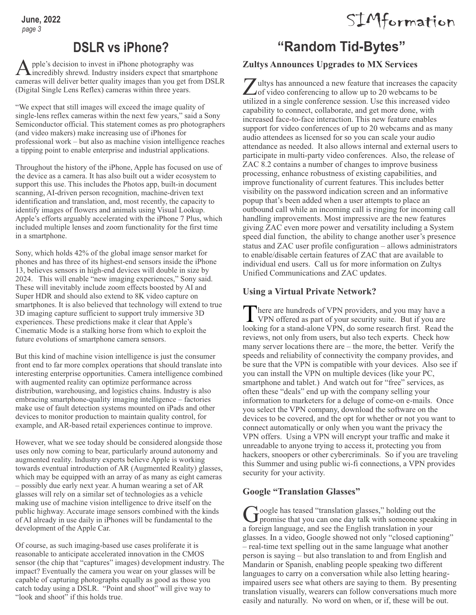#### **DSLR vs iPhone?**

Apple's decision to invest in iPhone photography was Aincredibly shrewd. Industry insiders expect that smartphone cameras will deliver better quality images than you get from DSLR (Digital Single Lens Reflex) cameras within three years.

"We expect that still images will exceed the image quality of single-lens reflex cameras within the next few years," said a Sony Semiconductor official. This statement comes as pro photographers (and video makers) make increasing use of iPhones for professional work – but also as machine vision intelligence reaches a tipping point to enable enterprise and industrial applications.

Throughout the history of the iPhone, Apple has focused on use of the device as a camera. It has also built out a wider ecosystem to support this use. This includes the Photos app, built-in document scanning, AI-driven person recognition, machine-driven text identification and translation, and, most recently, the capacity to identify images of flowers and animals using Visual Lookup. Apple's efforts arguably accelerated with the iPhone 7 Plus, which included multiple lenses and zoom functionality for the first time in a smartphone.

Sony, which holds 42% of the global image sensor market for phones and has three of its highest-end sensors inside the iPhone 13, believes sensors in high-end devices will double in size by 2024. This will enable "new imaging experiences," Sony said. These will inevitably include zoom effects boosted by AI and Super HDR and should also extend to 8K video capture on smartphones. It is also believed that technology will extend to true 3D imaging capture sufficient to support truly immersive 3D experiences. These predictions make it clear that Apple's Cinematic Mode is a stalking horse from which to exploit the future evolutions of smartphone camera sensors.

But this kind of machine vision intelligence is just the consumer front end to far more complex operations that should translate into interesting enterprise opportunities. Camera intelligence combined with augmented reality can optimize performance across distribution, warehousing, and logistics chains. Industry is also embracing smartphone-quality imaging intelligence – factories make use of fault detection systems mounted on iPads and other devices to monitor production to maintain quality control, for example, and AR-based retail experiences continue to improve.

However, what we see today should be considered alongside those uses only now coming to bear, particularly around autonomy and augmented reality. Industry experts believe Apple is working towards eventual introduction of AR (Augmented Reality) glasses, which may be equipped with an array of as many as eight cameras – possibly due early next year. A human wearing a set of AR glasses will rely on a similar set of technologies as a vehicle making use of machine vision intelligence to drive itself on the public highway. Accurate image sensors combined with the kinds of AI already in use daily in iPhones will be fundamental to the development of the Apple Car.

Of course, as such imaging-based use cases proliferate it is reasonable to anticipate accelerated innovation in the CMOS sensor (the chip that "captures" images) development industry. The impact? Eventually the camera you wear on your glasses will be capable of capturing photographs equally as good as those you catch today using a DSLR. "Point and shoot" will give way to "look and shoot" if this holds true.

### **"Random Tid-Bytes"**

SIMformation

#### **Zultys Announces Upgrades to MX Services**

 $\sum$ ultys has announced a new feature that increases the capacity of video conferencing to allow up to 20 webcams to be utilized in a single conference session. Use this increased video capability to connect, collaborate, and get more done, with increased face-to-face interaction. This new feature enables support for video conferences of up to 20 webcams and as many audio attendees as licensed for so you can scale your audio attendance as needed. It also allows internal and external users to participate in multi-party video conferences. Also, the release of ZAC 8.2 contains a number of changes to improve business processing, enhance robustness of existing capabilities, and improve functionality of current features. This includes better visibility on the password indication screen and an informative popup that's been added when a user attempts to place an outbound call while an incoming call is ringing for incoming call handling improvements. Most impressive are the new features giving ZAC even more power and versatility including a System speed dial function, the ability to change another user's presence status and ZAC user profile configuration – allows administrators to enable/disable certain features of ZAC that are available to individual end users. Call us for more information on Zultys Unified Communications and ZAC updates.

#### **Using a Virtual Private Network?**

There are hundreds of VPN providers, and you may have a<br>VPN offered as part of your security suite. But if you are here are hundreds of VPN providers, and you may have a looking for a stand-alone VPN, do some research first. Read the reviews, not only from users, but also tech experts. Check how many server locations there are – the more, the better. Verify the speeds and reliability of connectivity the company provides, and be sure that the VPN is compatible with your devices. Also see if you can install the VPN on multiple devices (like your PC, smartphone and tablet.) And watch out for "free" services, as often these "deals" end up with the company selling your information to marketers for a deluge of come-on e-mails. Once you select the VPN company, download the software on the devices to be covered, and the opt for whether or not you want to connect automatically or only when you want the privacy the VPN offers. Using a VPN will encrypt your traffic and make it unreadable to anyone trying to access it, protecting you from hackers, snoopers or other cybercriminals. So if you are traveling this Summer and using public wi-fi connections, a VPN provides security for your activity.

#### **Google "Translation Glasses"**

 $\int$  oogle has teased "translation glasses," holding out the promise that you can one day talk with someone speaking in a foreign language, and see the English translation in your glasses. In a video, Google showed not only "closed captioning" – real-time text spelling out in the same language what another person is saying – but also translation to and from English and Mandarin or Spanish, enabling people speaking two different languages to carry on a conversation while also letting hearingimpaired users see what others are saying to them. By presenting translation visually, wearers can follow conversations much more easily and naturally. No word on when, or if, these will be out.